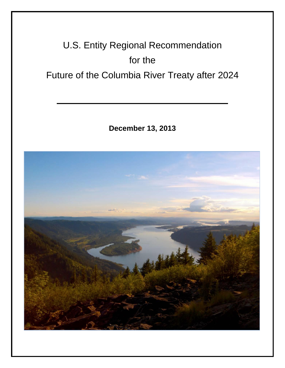# U.S. Entity Regional Recommendation for the Future of the Columbia River Treaty after 2024

**December 13, 2013**

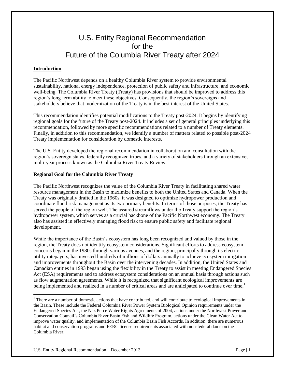# U.S. Entity Regional Recommendation for the Future of the Columbia River Treaty after 2024

# **Introduction**

 $\overline{a}$ 

The Pacific Northwest depends on a healthy Columbia River system to provide environmental sustainability, national energy independence, protection of public safety and infrastructure, and economic well-being. The Columbia River Treaty (Treaty) has provisions that should be improved to address this region's long-term ability to meet these objectives. Consequently, the region's sovereigns and stakeholders believe that modernization of the Treaty is in the best interest of the United States.

This recommendation identifies potential modifications to the Treaty post-2024. It begins by identifying regional goals for the future of the Treaty post-2024. It includes a set of general principles underlying this recommendation, followed by more specific recommendations related to a number of Treaty elements. Finally, in addition to this recommendation, we identify a number of matters related to possible post-2024 Treaty implementation for consideration by domestic interests.

The U.S. Entity developed the regional recommendation in collaboration and consultation with the region's sovereign states, federally recognized tribes, and a variety of stakeholders through an extensive, multi-year process known as the Columbia River Treaty Review.

# **Regional Goal for the Columbia River Treaty**

The Pacific Northwest recognizes the value of the Columbia River Treaty in facilitating shared water resource management in the Basin to maximize benefits to both the United States and Canada. When the Treaty was originally drafted in the 1960s, it was designed to optimize hydropower production and coordinate flood risk management as its two primary benefits. In terms of those purposes, the Treaty has served the people of the region well. The assured streamflows under the Treaty support the region's hydropower system, which serves as a crucial backbone of the Pacific Northwest economy. The Treaty also has assisted in effectively managing flood risk to ensure public safety and facilitate regional development.

While the importance of the Basin's ecosystem has long been recognized and valued by those in the region, the Treaty does not identify ecosystem considerations. Significant efforts to address ecosystem concerns began in the 1980s through various avenues, and the region, principally through its electric utility ratepayers, has invested hundreds of millions of dollars annually to achieve ecosystem mitigation and improvements throughout the Basin over the intervening decades. In addition, the United States and Canadian entities in 1993 began using the flexibility in the Treaty to assist in meeting Endangered Species Act (ESA) requirements and to address ecosystem considerations on an annual basis through actions such as flow augmentation agreements. While it is recognized that significant ecological improvements are being implemented and realized in a number of critical areas and are anticipated to continue over time, $\frac{1}{1}$ 

<sup>&</sup>lt;sup>1</sup> There are a number of domestic actions that have contributed, and will contribute to ecological improvements in the Basin. These include the Federal Columbia River Power System Biological Opinion requirements under the Endangered Species Act, the Nez Perce Water Rights Agreements of 2004, actions under the Northwest Power and Conservation Council's Columbia River Basin Fish and Wildlife Program, actions under the Clean Water Act to improve water quality, and implementation of the Columbia Basin Fish Accords. In addition, there are numerous habitat and conservation programs and FERC license requirements associated with non-federal dams on the Columbia River.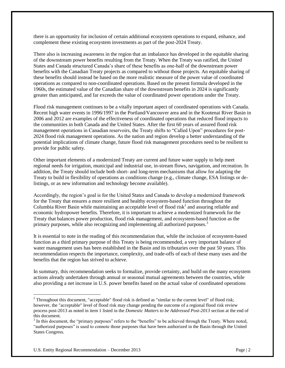there is an opportunity for inclusion of certain additional ecosystem operations to expand, enhance, and complement these existing ecosystem investments as part of the post-2024 Treaty.

There also is increasing awareness in the region that an imbalance has developed in the equitable sharing of the downstream power benefits resulting from the Treaty. When the Treaty was ratified, the United States and Canada structured Canada's share of these benefits as one-half of the downstream power benefits with the Canadian Treaty projects as compared to without those projects. An equitable sharing of these benefits should instead be based on the more realistic measure of the power value of coordinated operations as compared to non-coordinated operations. Based on the present formula developed in the 1960s, the estimated value of the Canadian share of the downstream benefits in 2024 is significantly greater than anticipated, and far exceeds the value of coordinated power operations under the Treaty.

Flood risk management continues to be a vitally important aspect of coordinated operations with Canada. Recent high water events in 1996/1997 in the Portland/Vancouver area and in the Kootenai River Basin in 2006 and 2012 are examples of the effectiveness of coordinated operations that reduced flood impacts to the communities in both Canada and the United States. After the first 60 years of assured flood risk management operations in Canadian reservoirs, the Treaty shifts to "Called Upon" procedures for post-2024 flood risk management operations. As the nation and region develop a better understanding of the potential implications of climate change, future flood risk management procedures need to be resilient to provide for public safety.

Other important elements of a modernized Treaty are current and future water supply to help meet regional needs for irrigation, municipal and industrial use, in-stream flows, navigation, and recreation. In addition, the Treaty should include both short- and long-term mechanisms that allow for adapting the Treaty to build in flexibility of operations as conditions change (e.g., climate change, ESA listings or delistings, or as new information and technology become available).

Accordingly, the region's goal is for the United States and Canada to develop a modernized framework for the Treaty that ensures a more resilient and healthy ecosystem-based function throughout the Columbia River Basin while maintaining an acceptable level of flood risk<sup>2</sup> and assuring reliable and economic hydropower benefits. Therefore, it is important to achieve a modernized framework for the Treaty that balances power production, flood risk management, and ecosystem-based function as the primary purposes, while also recognizing and implementing all authorized purposes.<sup>3</sup>

It is essential to note in the reading of this recommendation that, while the inclusion of ecosystem-based function as a third primary purpose of this Treaty is being recommended, a very important balance of water management uses has been established in the Basin and its tributaries over the past 50 years. This recommendation respects the importance, complexity, and trade-offs of each of these many uses and the benefits that the region has strived to achieve.

In summary, this recommendation seeks to formalize, provide certainty, and build on the many ecosystem actions already undertaken through annual or seasonal mutual agreements between the countries, while also providing a net increase in U.S. power benefits based on the actual value of coordinated operations

 $\overline{a}$ 

 $2$  Throughout this document, "acceptable" flood risk is defined as "similar to the current level" of flood risk; however, the "acceptable" level of flood risk may change pending the outcome of a regional flood risk review process post-2013 as noted in item 1 listed in the *Domestic Matters to be Addressed Post-2013* section at the end of this document.

 $3$  In this document, the "primary purposes" refers to the "benefits" to be achieved through the Treaty. Where noted, "authorized purposes" is used to connote those purposes that have been authorized in the Basin through the United States Congress.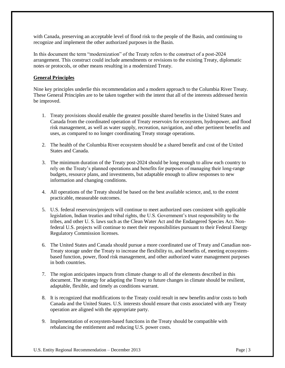with Canada, preserving an acceptable level of flood risk to the people of the Basin, and continuing to recognize and implement the other authorized purposes in the Basin.

In this document the term "modernization" of the Treaty refers to the construct of a post-2024 arrangement. This construct could include amendments or revisions to the existing Treaty, diplomatic notes or protocols, or other means resulting in a modernized Treaty.

# **General Principles**

Nine key principles underlie this recommendation and a modern approach to the Columbia River Treaty. These General Principles are to be taken together with the intent that all of the interests addressed herein be improved.

- 1. Treaty provisions should enable the greatest possible shared benefits in the United States and Canada from the coordinated operation of Treaty reservoirs for ecosystem, hydropower, and flood risk management, as well as water supply, recreation, navigation, and other pertinent benefits and uses, as compared to no longer coordinating Treaty storage operations.
- 2. The health of the Columbia River ecosystem should be a shared benefit and cost of the United States and Canada.
- 3. The minimum duration of the Treaty post-2024 should be long enough to allow each country to rely on the Treaty's planned operations and benefits for purposes of managing their long-range budgets, resource plans, and investments, but adaptable enough to allow responses to new information and changing conditions.
- 4. All operations of the Treaty should be based on the best available science, and, to the extent practicable, measurable outcomes.
- 5. U.S. federal reservoirs/projects will continue to meet authorized uses consistent with applicable legislation, Indian treaties and tribal rights, the U.S. Government's trust responsibility to the tribes, and other U. S. laws such as the Clean Water Act and the Endangered Species Act. Nonfederal U.S. projects will continue to meet their responsibilities pursuant to their Federal Energy Regulatory Commission licenses.
- 6. The United States and Canada should pursue a more coordinated use of Treaty and Canadian non-Treaty storage under the Treaty to increase the flexibility to, and benefits of, meeting ecosystembased function, power, flood risk management, and other authorized water management purposes in both countries.
- 7. The region anticipates impacts from climate change to all of the elements described in this document. The strategy for adapting the Treaty to future changes in climate should be resilient, adaptable, flexible, and timely as conditions warrant.
- 8. It is recognized that modifications to the Treaty could result in new benefits and/or costs to both Canada and the United States. U.S. interests should ensure that costs associated with any Treaty operation are aligned with the appropriate party.
- 9. Implementation of ecosystem-based functions in the Treaty should be compatible with rebalancing the entitlement and reducing U.S. power costs.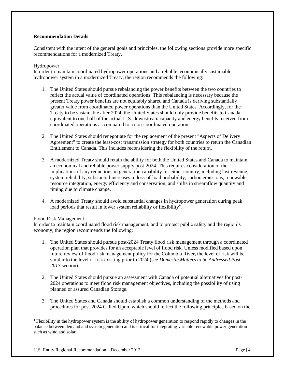# **Recommendation Details**

Consistent with the intent of the general goals and principles, the following sections provide more specific recommendations for a modernized Treaty.

# Hydropower

In order to maintain coordinated hydropower operations and a reliable, economically sustainable hydropower system in a modernized Treaty, the region recommends the following:

- 1. The United States should pursue rebalancing the power benefits between the two countries to reflect the actual value of coordinated operations. This rebalancing is necessary because the present Treaty power benefits are not equitably shared and Canada is deriving substantially greater value from coordinated power operations than the United States. Accordingly, for the Treaty to be sustainable after 2024, the United States should only provide benefits to Canada equivalent to one-half of the actual U.S. downstream capacity and energy benefits received from coordinated operations as compared to a non-coordinated operation.
- 2. The United States should renegotiate for the replacement of the present "Aspects of Delivery Agreement" to create the least-cost transmission strategy for both countries to return the Canadian Entitlement to Canada. This includes reconsidering the flexibility of the return.
- 3. A modernized Treaty should retain the ability for both the United States and Canada to maintain an economical and reliable power supply post-2024. This requires consideration of the implications of any reductions in generation capability for either country, including lost revenue, system reliability, substantial increases in loss-of-load probability, carbon emissions, renewable resource integration, energy efficiency and conservation, and shifts in streamflow quantity and timing due to climate change.
- 4. A modernized Treaty should avoid substantial changes in hydropower generation during peak load periods that result in lower system reliability or flexibility<sup>4</sup>.

# Flood Risk Management

 $\overline{a}$ 

In order to maintain coordinated flood risk management, and to protect public safety and the region's economy, the region recommends the following:

- 1. The United States should pursue post-2024 Treaty flood risk management through a coordinated operation plan that provides for an acceptable level of flood risk. Unless modified based upon future review of flood risk management policy for the Columbia River, the level of risk will be similar to the level of risk existing prior to 2024 (see *Domestic Matters to be Addressed Post-2013* section).
- 2. The United States should pursue an assessment with Canada of potential alternatives for post-2024 operations to meet flood risk management objectives, including the possibility of using planned or assured Canadian Storage.
- 3. The United States and Canada should establish a common understanding of the methods and procedures for post-2024 Called Upon, which should reflect the following principles based on the

<sup>&</sup>lt;sup>4</sup> Flexibility in the hydropower system is the ability of hydropower generation to respond rapidly to changes in the balance between demand and system generation and is critical for integrating variable renewable power generation such as wind and solar.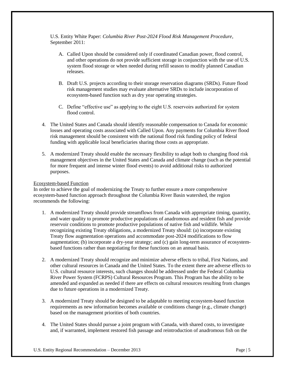U.S. Entity White Paper: *Columbia River Post-2024 Flood Risk Management Procedure*, September 2011:

- A. Called Upon should be considered only if coordinated Canadian power, flood control, and other operations do not provide sufficient storage in conjunction with the use of U.S. system flood storage or when needed during refill season to modify planned Canadian releases.
- B. Draft U.S. projects according to their storage reservation diagrams (SRDs). Future flood risk management studies may evaluate alternative SRDs to include incorporation of ecosystem-based function such as dry year operating strategies.
- C. Define "effective use" as applying to the eight U.S. reservoirs authorized for system flood control.
- 4. The United States and Canada should identify reasonable compensation to Canada for economic losses and operating costs associated with Called Upon. Any payments for Columbia River flood risk management should be consistent with the national flood risk funding policy of federal funding with applicable local beneficiaries sharing those costs as appropriate.
- 5. A modernized Treaty should enable the necessary flexibility to adapt both to changing flood risk management objectives in the United States and Canada and climate change (such as the potential for more frequent and intense winter flood events) to avoid additional risks to authorized purposes.

#### Ecosystem-based Function

In order to achieve the goal of modernizing the Treaty to further ensure a more comprehensive ecosystem-based function approach throughout the Columbia River Basin watershed, the region recommends the following:

- 1. A modernized Treaty should provide streamflows from Canada with appropriate timing, quantity, and water quality to promote productive populations of anadromous and resident fish and provide reservoir conditions to promote productive populations of native fish and wildlife. While recognizing existing Treaty obligations, a modernized Treaty should: (a) incorporate existing Treaty flow augmentation operations and accommodate post-2024 modifications to flow augmentation; (b) incorporate a dry-year strategy; and (c) gain long-term assurance of ecosystembased functions rather than negotiating for these functions on an annual basis.
- 2. A modernized Treaty should recognize and minimize adverse effects to tribal, First Nations, and other cultural resources in Canada and the United States. To the extent there are adverse effects to U.S. cultural resource interests, such changes should be addressed under the Federal Columbia River Power System (FCRPS) Cultural Resources Program. This Program has the ability to be amended and expanded as needed if there are effects on cultural resources resulting from changes due to future operations in a modernized Treaty.
- 3. A modernized Treaty should be designed to be adaptable to meeting ecosystem-based function requirements as new information becomes available or conditions change (e.g., climate change) based on the management priorities of both countries.
- 4. The United States should pursue a joint program with Canada, with shared costs, to investigate and, if warranted, implement restored fish passage and reintroduction of anadromous fish on the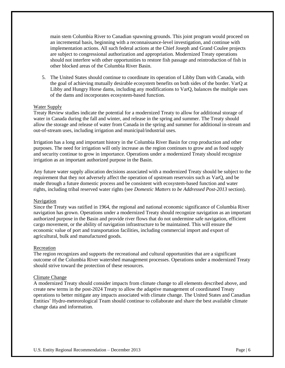main stem Columbia River to Canadian spawning grounds. This joint program would proceed on an incremental basis, beginning with a reconnaissance-level investigation, and continue with implementation actions. All such federal actions at the Chief Joseph and Grand Coulee projects are subject to congressional authorization and appropriation. Modernized Treaty operations should not interfere with other opportunities to restore fish passage and reintroduction of fish in other blocked areas of the Columbia River Basin.

5. The United States should continue to coordinate its operation of Libby Dam with Canada, with the goal of achieving mutually desirable ecosystem benefits on both sides of the border. VarQ at Libby and Hungry Horse dams, including any modifications to VarQ, balances the multiple uses of the dams and incorporates ecosystem-based function.

#### Water Supply

Treaty Review studies indicate the potential for a modernized Treaty to allow for additional storage of water in Canada during the fall and winter, and release in the spring and summer. The Treaty should allow the storage and release of water from Canada in the spring and summer for additional in-stream and out-of-stream uses, including irrigation and municipal/industrial uses.

Irrigation has a long and important history in the Columbia River Basin for crop production and other purposes. The need for irrigation will only increase as the region continues to grow and as food supply and security continue to grow in importance. Operations under a modernized Treaty should recognize irrigation as an important authorized purpose in the Basin.

Any future water supply allocation decisions associated with a modernized Treaty should be subject to the requirement that they not adversely affect the operation of upstream reservoirs such as VarQ, and be made through a future domestic process and be consistent with ecosystem-based function and water rights, including tribal reserved water rights (see *Domestic Matters to be Addressed Post-2013* section).

#### Navigation

Since the Treaty was ratified in 1964, the regional and national economic significance of Columbia River navigation has grown. Operations under a modernized Treaty should recognize navigation as an important authorized purpose in the Basin and provide river flows that do not undermine safe navigation, efficient cargo movement, or the ability of navigation infrastructure to be maintained. This will ensure the economic value of port and transportation facilities, including commercial import and export of agricultural, bulk and manufactured goods.

#### **Recreation**

The region recognizes and supports the recreational and cultural opportunities that are a significant outcome of the Columbia River watershed management processes. Operations under a modernized Treaty should strive toward the protection of these resources.

#### Climate Change

A modernized Treaty should consider impacts from climate change to all elements described above, and create new terms in the post-2024 Treaty to allow the adaptive management of coordinated Treaty operations to better mitigate any impacts associated with climate change. The United States and Canadian Entities' Hydro-meteorological Team should continue to collaborate and share the best available climate change data and information.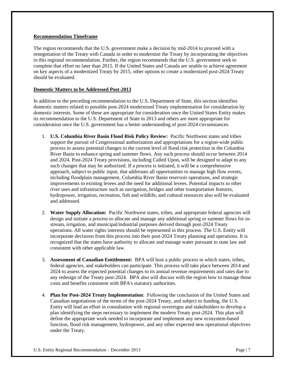### **Recommendation Timeframe**

The region recommends that the U.S. government make a decision by mid-2014 to proceed with a renegotiation of the Treaty with Canada in order to modernize the Treaty by incorporating the objectives in this regional recommendation. Further, the region recommends that the U.S. government seek to complete that effort no later than 2015. If the United States and Canada are unable to achieve agreement on key aspects of a modernized Treaty by 2015, other options to create a modernized post-2024 Treaty should be evaluated.

# **Domestic Matters to be Addressed Post-2013**

In addition to the preceding recommendation to the U.S. Department of State, this section identifies domestic matters related to possible post-2024 modernized Treaty implementation for consideration by domestic interests. Some of these are appropriate for consideration once the United States Entity makes its recommendation to the U.S. Department of State in 2013 and others are more appropriate for consideration once the U.S. government has a better understanding of post-2024 circumstances.

- 1. **U.S. Columbia River Basin Flood Risk Policy Review:** Pacific Northwest states and tribes support the pursuit of Congressional authorization and appropriations for a region-wide public process to assess potential changes to the current level of flood risk protection in the Columbia River Basin to enhance spring and summer flows. Any such process should occur between 2014 and 2024. Post-2024 Treaty provisions, including Called Upon, will be designed to adapt to any such changes that may be authorized. If a process is initiated, it will be a comprehensive approach, subject to public input, that addresses all opportunities to manage high flow events, including floodplain management, Columbia River Basin reservoir operations, and strategic improvements to existing levees and the need for additional levees. Potential impacts to other river uses and infrastructure such as navigation, bridges and other transportation features, hydropower, irrigation, recreation, fish and wildlife, and cultural resources also will be evaluated and addressed.
- 2. **Water Supply Allocation:** Pacific Northwest states, tribes, and appropriate federal agencies will design and initiate a process to allocate and manage any additional spring or summer flows for instream, irrigation, and municipal/industrial purposes derived through post-2024 Treaty operations. All water rights interests should be represented in this process. The U.S. Entity will incorporate decisions from this process into their post-2024 Treaty planning and operations. It is recognized that the states have authority to allocate and manage water pursuant to state law and consistent with other applicable law.
- 3. **Assessment of Canadian Entitlement:** BPA will host a public process in which states, tribes, federal agencies, and stakeholders can participate. This process will take place between 2014 and 2024 to assess the expected potential changes to its annual revenue requirements and rates due to any redesign of the Treaty post-2024. BPA also will discuss with the region how to manage those costs and benefits consistent with BPA's statutory authorities.
- 4. **Plan for Post-2024 Treaty Implementation**: Following the conclusion of the United States and Canadian negotiations of the terms of the post-2024 Treaty, and subject to funding, the U.S. Entity will lead an effort in consultation with regional sovereigns and stakeholders to develop a plan identifying the steps necessary to implement the modern Treaty post-2024. This plan will define the appropriate work needed to incorporate and implement any new ecosystem-based function, flood risk management, hydropower, and any other expected new operational objectives under the Treaty.